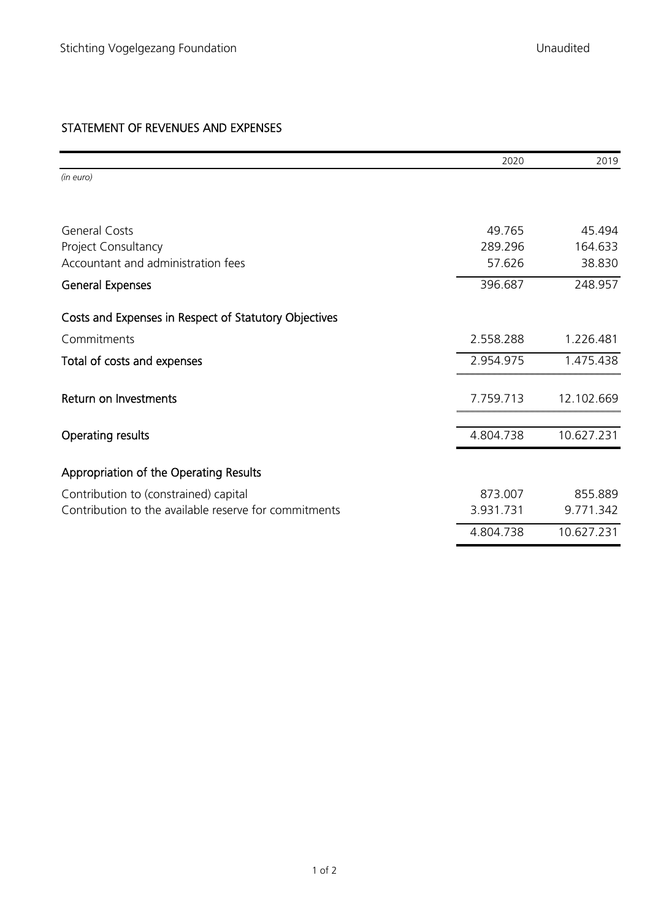|                                                       | 2020      | 2019       |
|-------------------------------------------------------|-----------|------------|
| (in euro)                                             |           |            |
|                                                       |           |            |
| <b>General Costs</b>                                  | 49.765    | 45.494     |
| Project Consultancy                                   | 289.296   | 164.633    |
| Accountant and administration fees                    | 57.626    | 38,830     |
| <b>General Expenses</b>                               | 396.687   | 248.957    |
| Costs and Expenses in Respect of Statutory Objectives |           |            |
| Commitments                                           | 2.558.288 | 1.226.481  |
| Total of costs and expenses                           | 2.954.975 | 1.475.438  |
| Return on Investments                                 | 7.759.713 | 12.102.669 |
| <b>Operating results</b>                              | 4.804.738 | 10.627.231 |
| Appropriation of the Operating Results                |           |            |
| Contribution to (constrained) capital                 | 873.007   | 855.889    |
| Contribution to the available reserve for commitments | 3.931.731 | 9.771.342  |
|                                                       | 4.804.738 | 10.627.231 |